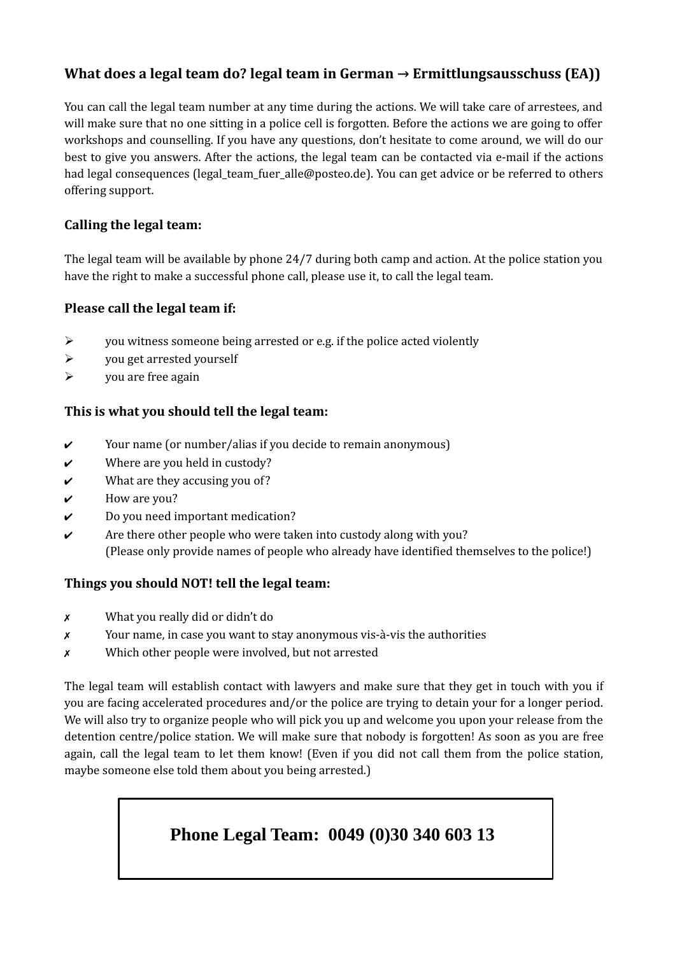# **What does a legal team do? legal team in German → Ermittlungsausschuss (EA))**

You can call the legal team number at any time during the actions. We will take care of arrestees, and will make sure that no one sitting in a police cell is forgotten. Before the actions we are going to offer workshops and counselling. If you have any questions, don't hesitate to come around, we will do our best to give you answers. After the actions, the legal team can be contacted via e-mail if the actions had legal consequences (legal team fuer alle@posteo.de). You can get advice or be referred to others offering support.

# **Calling the legal team:**

The legal team will be available by phone 24/7 during both camp and action. At the police station you have the right to make a successful phone call, please use it, to call the legal team.

## **Please call the legal team if:**

- $\triangleright$  you witness someone being arrested or e.g. if the police acted violently
- $\triangleright$  you get arrested yourself
- $\triangleright$  you are free again

## **This is what you should tell the legal team:**

- ✔ Your name (or number/alias if you decide to remain anonymous)
- $\boldsymbol{\nu}$  Where are you held in custody?
- $\boldsymbol{\nu}$  What are they accusing you of?
- $\boldsymbol{\checkmark}$  How are you?
- $\boldsymbol{\nu}$  Do you need important medication?
- $\checkmark$  Are there other people who were taken into custody along with you? (Please only provide names of people who already have identified themselves to the police!)

### **Things you should NOT! tell the legal team:**

- ✗ What you really did or didn't do
- ✗ Your name, in case you want to stay anonymous vis-à-vis the authorities
- ✗ Which other people were involved, but not arrested

The legal team will establish contact with lawyers and make sure that they get in touch with you if you are facing accelerated procedures and/or the police are trying to detain your for a longer period. We will also try to organize people who will pick you up and welcome you upon your release from the detention centre/police station. We will make sure that nobody is forgotten! As soon as you are free again, call the legal team to let them know! (Even if you did not call them from the police station, maybe someone else told them about you being arrested.)

# **Phone Legal Team: 0049 (0)30 340 603 13**